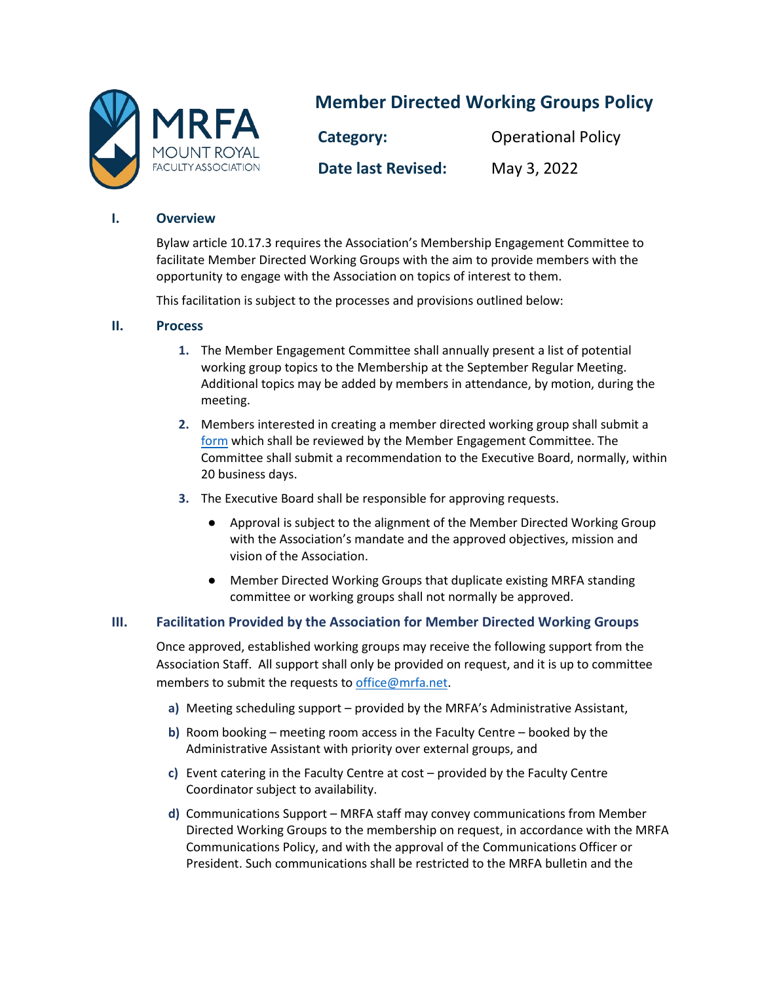

# **Member Directed Working Groups Policy**

**Category:** Operational Policy **Date last Revised:** May 3, 2022

### **I. Overview**

Bylaw article 10.17.3 requires the Association's Membership Engagement Committee to facilitate Member Directed Working Groups with the aim to provide members with the opportunity to engage with the Association on topics of interest to them.

This facilitation is subject to the processes and provisions outlined below:

## **II. Process**

- **1.** The Member Engagement Committee shall annually present a list of potential working group topics to the Membership at the September Regular Meeting. Additional topics may be added by members in attendance, by motion, during the meeting.
- **2.** Members interested in creating a member directed working group shall submit a [form](https://forms.gle/FVkQFiG5Qith76Ym9) which shall be reviewed by the Member Engagement Committee. The Committee shall submit a recommendation to the Executive Board, normally, within 20 business days.
- **3.** The Executive Board shall be responsible for approving requests.
	- Approval is subject to the alignment of the Member Directed Working Group with the Association's mandate and the approved objectives, mission and vision of the Association.
	- Member Directed Working Groups that duplicate existing MRFA standing committee or working groups shall not normally be approved.

## **III. Facilitation Provided by the Association for Member Directed Working Groups**

Once approved, established working groups may receive the following support from the Association Staff. All support shall only be provided on request, and it is up to committee members to submit the requests to [office@mrfa.net.](mailto:office@mrfa.net)

- **a)** Meeting scheduling support provided by the MRFA's Administrative Assistant,
- **b)** Room booking meeting room access in the Faculty Centre booked by the Administrative Assistant with priority over external groups, and
- **c)** Event catering in the Faculty Centre at cost provided by the Faculty Centre Coordinator subject to availability.
- **d)** Communications Support MRFA staff may convey communications from Member Directed Working Groups to the membership on request, in accordance with the MRFA Communications Policy, and with the approval of the Communications Officer or President. Such communications shall be restricted to the MRFA bulletin and the